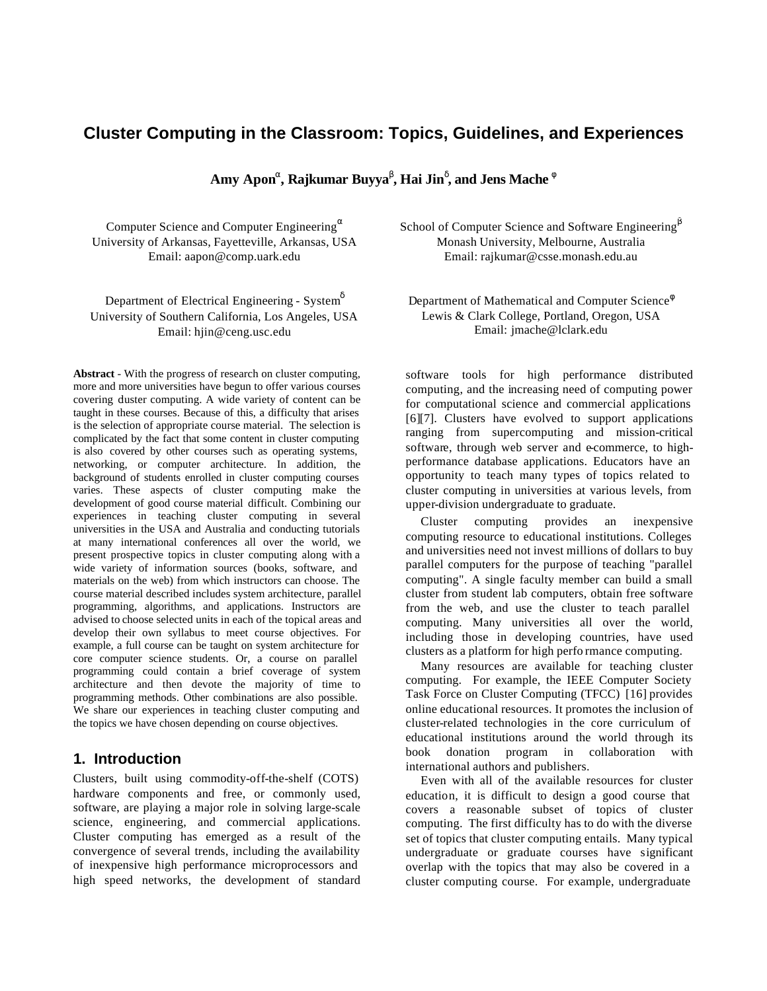# **Cluster Computing in the Classroom: Topics, Guidelines, and Experiences**

**Amy Apon<sup>α</sup>, Rajkumar Buyya** ${}^{\beta}$ **, Hai Jin** ${}^{\delta}$ **, and Jens Mache**  ${}^{\phi}$ 

Computer Science and Computer Engineering $\alpha$ University of Arkansas, Fayetteville, Arkansas, USA Email: aapon@comp.uark.edu

Department of Electrical Engineering - System<sup>o</sup> University of Southern California, Los Angeles, USA Email: hjin@ceng.usc.edu

**Abstract** - With the progress of research on cluster computing, more and more universities have begun to offer various courses covering duster computing. A wide variety of content can be taught in these courses. Because of this, a difficulty that arises is the selection of appropriate course material. The selection is complicated by the fact that some content in cluster computing is also covered by other courses such as operating systems, networking, or computer architecture. In addition, the background of students enrolled in cluster computing courses varies. These aspects of cluster computing make the development of good course material difficult. Combining our experiences in teaching cluster computing in several universities in the USA and Australia and conducting tutorials at many international conferences all over the world, we present prospective topics in cluster computing along with a wide variety of information sources (books, software, and materials on the web) from which instructors can choose. The course material described includes system architecture, parallel programming, algorithms, and applications. Instructors are advised to choose selected units in each of the topical areas and develop their own syllabus to meet course objectives. For example, a full course can be taught on system architecture for core computer science students. Or, a course on parallel programming could contain a brief coverage of system architecture and then devote the majority of time to programming methods. Other combinations are also possible. We share our experiences in teaching cluster computing and the topics we have chosen depending on course objectives.

## **1. Introduction**

Clusters, built using commodity-off-the-shelf (COTS) hardware components and free, or commonly used, software, are playing a major role in solving large-scale science, engineering, and commercial applications. Cluster computing has emerged as a result of the convergence of several trends, including the availability of inexpensive high performance microprocessors and high speed networks, the development of standard School of Computer Science and Software Engineering<sup>B</sup> Monash University, Melbourne, Australia Email: rajkumar@csse.monash.edu.au

Department of Mathematical and Computer Science $\phi$ Lewis & Clark College, Portland, Oregon, USA Email: jmache@lclark.edu

software tools for high performance distributed computing, and the increasing need of computing power for computational science and commercial applications [6][7]. Clusters have evolved to support applications ranging from supercomputing and mission-critical software, through web server and e-commerce, to highperformance database applications. Educators have an opportunity to teach many types of topics related to cluster computing in universities at various levels, from upper-division undergraduate to graduate.

Cluster computing provides an inexpensive computing resource to educational institutions. Colleges and universities need not invest millions of dollars to buy parallel computers for the purpose of teaching "parallel computing". A single faculty member can build a small cluster from student lab computers, obtain free software from the web, and use the cluster to teach parallel computing. Many universities all over the world, including those in developing countries, have used clusters as a platform for high perfo rmance computing.

Many resources are available for teaching cluster computing. For example, the IEEE Computer Society Task Force on Cluster Computing (TFCC) [16] provides online educational resources. It promotes the inclusion of cluster-related technologies in the core curriculum of educational institutions around the world through its book donation program in collaboration with international authors and publishers.

Even with all of the available resources for cluster education, it is difficult to design a good course that covers a reasonable subset of topics of cluster computing. The first difficulty has to do with the diverse set of topics that cluster computing entails. Many typical undergraduate or graduate courses have significant overlap with the topics that may also be covered in a cluster computing course. For example, undergraduate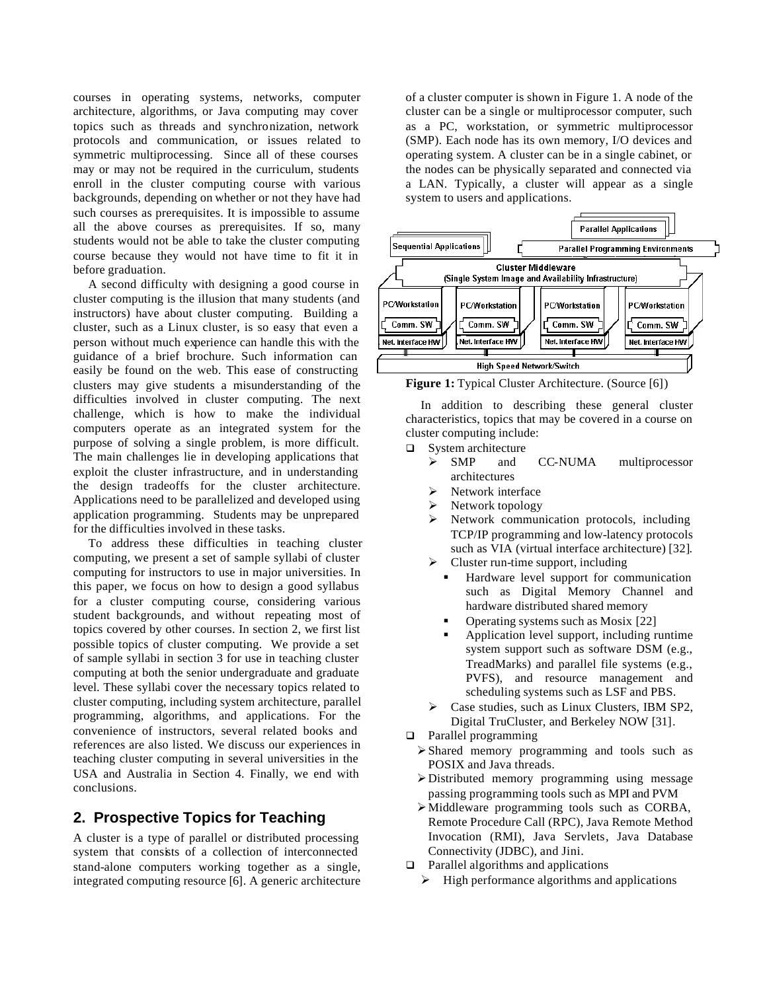courses in operating systems, networks, computer architecture, algorithms, or Java computing may cover topics such as threads and synchronization, network protocols and communication, or issues related to symmetric multiprocessing. Since all of these courses may or may not be required in the curriculum, students enroll in the cluster computing course with various backgrounds, depending on whether or not they have had such courses as prerequisites. It is impossible to assume all the above courses as prerequisites. If so, many students would not be able to take the cluster computing course because they would not have time to fit it in before graduation.

A second difficulty with designing a good course in cluster computing is the illusion that many students (and instructors) have about cluster computing. Building a cluster, such as a Linux cluster, is so easy that even a person without much experience can handle this with the guidance of a brief brochure. Such information can easily be found on the web. This ease of constructing clusters may give students a misunderstanding of the difficulties involved in cluster computing. The next challenge, which is how to make the individual computers operate as an integrated system for the purpose of solving a single problem, is more difficult. The main challenges lie in developing applications that exploit the cluster infrastructure, and in understanding the design tradeoffs for the cluster architecture. Applications need to be parallelized and developed using application programming. Students may be unprepared for the difficulties involved in these tasks.

To address these difficulties in teaching cluster computing, we present a set of sample syllabi of cluster computing for instructors to use in major universities. In this paper, we focus on how to design a good syllabus for a cluster computing course, considering various student backgrounds, and without repeating most of topics covered by other courses. In section 2, we first list possible topics of cluster computing. We provide a set of sample syllabi in section 3 for use in teaching cluster computing at both the senior undergraduate and graduate level. These syllabi cover the necessary topics related to cluster computing, including system architecture, parallel programming, algorithms, and applications. For the convenience of instructors, several related books and references are also listed. We discuss our experiences in teaching cluster computing in several universities in the USA and Australia in Section 4. Finally, we end with conclusions.

# **2. Prospective Topics for Teaching**

A cluster is a type of parallel or distributed processing system that consists of a collection of interconnected stand-alone computers working together as a single, integrated computing resource [6]. A generic architecture of a cluster computer is shown in Figure 1. A node of the cluster can be a single or multiprocessor computer, such as a PC, workstation, or symmetric multiprocessor (SMP). Each node has its own memory, I/O devices and operating system. A cluster can be in a single cabinet, or the nodes can be physically separated and connected via a LAN. Typically, a cluster will appear as a single system to users and applications.





In addition to describing these general cluster characteristics, topics that may be covered in a course on cluster computing include:

- $\Box$  System architecture
	- SMP and CC-NUMA multiprocessor architectures
	- $\triangleright$  Network interface
	- Network topology
	- Network communication protocols, including TCP/IP programming and low-latency protocols such as VIA (virtual interface architecture) [32].
	- $\triangleright$  Cluster run-time support, including
		- **Hardware level support for communication** such as Digital Memory Channel and hardware distributed shared memory
		- ß Operating systems such as Mosix [22]
		- ß Application level support, including runtime system support such as software DSM (e.g., TreadMarks) and parallel file systems (e.g., PVFS), and resource management and scheduling systems such as LSF and PBS.
	- $\triangleright$  Case studies, such as Linux Clusters, IBM SP2, Digital TruCluster, and Berkeley NOW [31].
- **q** Parallel programming
	- ÿShared memory programming and tools such as POSIX and Java threads.
	- ÿDistributed memory programming using message passing programming tools such as MPI and PVM
	- ÿMiddleware programming tools such as CORBA, Remote Procedure Call (RPC), Java Remote Method Invocation (RMI), Java Servlets, Java Database Connectivity (JDBC), and Jini.
- $\Box$  Parallel algorithms and applications
	- $\blacktriangleright$  High performance algorithms and applications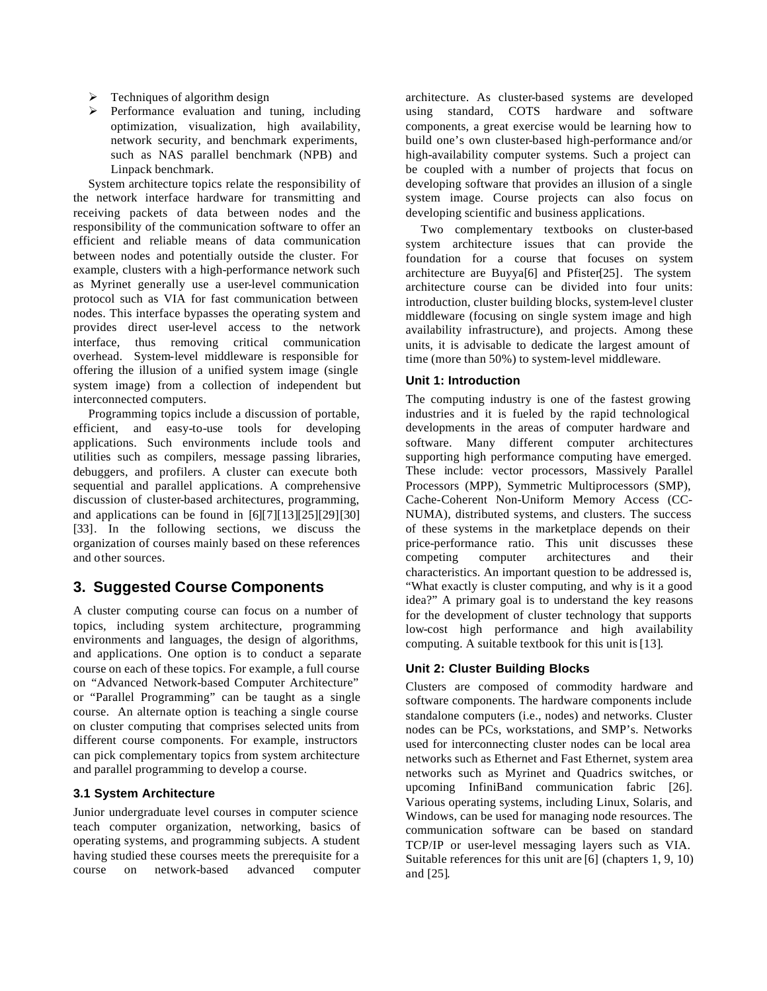- $\triangleright$  Techniques of algorithm design
- ÿ Performance evaluation and tuning, including optimization, visualization, high availability, network security, and benchmark experiments, such as NAS parallel benchmark (NPB) and Linpack benchmark.

System architecture topics relate the responsibility of the network interface hardware for transmitting and receiving packets of data between nodes and the responsibility of the communication software to offer an efficient and reliable means of data communication between nodes and potentially outside the cluster. For example, clusters with a high-performance network such as Myrinet generally use a user-level communication protocol such as VIA for fast communication between nodes. This interface bypasses the operating system and provides direct user-level access to the network interface, thus removing critical communication overhead. System-level middleware is responsible for offering the illusion of a unified system image (single system image) from a collection of independent but interconnected computers.

Programming topics include a discussion of portable, efficient, and easy-to-use tools for developing applications. Such environments include tools and utilities such as compilers, message passing libraries, debuggers, and profilers. A cluster can execute both sequential and parallel applications. A comprehensive discussion of cluster-based architectures, programming, and applications can be found in [6][7][13][25][29][30] [33]. In the following sections, we discuss the organization of courses mainly based on these references and other sources.

# **3. Suggested Course Components**

A cluster computing course can focus on a number of topics, including system architecture, programming environments and languages, the design of algorithms, and applications. One option is to conduct a separate course on each of these topics. For example, a full course on "Advanced Network-based Computer Architecture" or "Parallel Programming" can be taught as a single course. An alternate option is teaching a single course on cluster computing that comprises selected units from different course components. For example, instructors can pick complementary topics from system architecture and parallel programming to develop a course.

## **3.1 System Architecture**

Junior undergraduate level courses in computer science teach computer organization, networking, basics of operating systems, and programming subjects. A student having studied these courses meets the prerequisite for a course on network-based advanced computer architecture. As cluster-based systems are developed using standard, COTS hardware and software components, a great exercise would be learning how to build one's own cluster-based high-performance and/or high-availability computer systems. Such a project can be coupled with a number of projects that focus on developing software that provides an illusion of a single system image. Course projects can also focus on developing scientific and business applications.

Two complementary textbooks on cluster-based system architecture issues that can provide the foundation for a course that focuses on system architecture are Buyya[6] and Pfister[25]. The system architecture course can be divided into four units: introduction, cluster building blocks, system-level cluster middleware (focusing on single system image and high availability infrastructure), and projects. Among these units, it is advisable to dedicate the largest amount of time (more than 50%) to system-level middleware.

### **Unit 1: Introduction**

The computing industry is one of the fastest growing industries and it is fueled by the rapid technological developments in the areas of computer hardware and software. Many different computer architectures supporting high performance computing have emerged. These include: vector processors, Massively Parallel Processors (MPP), Symmetric Multiprocessors (SMP), Cache-Coherent Non-Uniform Memory Access (CC-NUMA), distributed systems, and clusters. The success of these systems in the marketplace depends on their price-performance ratio. This unit discusses these competing computer architectures and their characteristics. An important question to be addressed is, "What exactly is cluster computing, and why is it a good idea?" A primary goal is to understand the key reasons for the development of cluster technology that supports low-cost high performance and high availability computing. A suitable textbook for this unit is [13].

## **Unit 2: Cluster Building Blocks**

Clusters are composed of commodity hardware and software components. The hardware components include standalone computers (i.e., nodes) and networks. Cluster nodes can be PCs, workstations, and SMP's. Networks used for interconnecting cluster nodes can be local area networks such as Ethernet and Fast Ethernet, system area networks such as Myrinet and Quadrics switches, or upcoming InfiniBand communication fabric [26]. Various operating systems, including Linux, Solaris, and Windows, can be used for managing node resources. The communication software can be based on standard TCP/IP or user-level messaging layers such as VIA. Suitable references for this unit are [6] (chapters 1, 9, 10) and [25].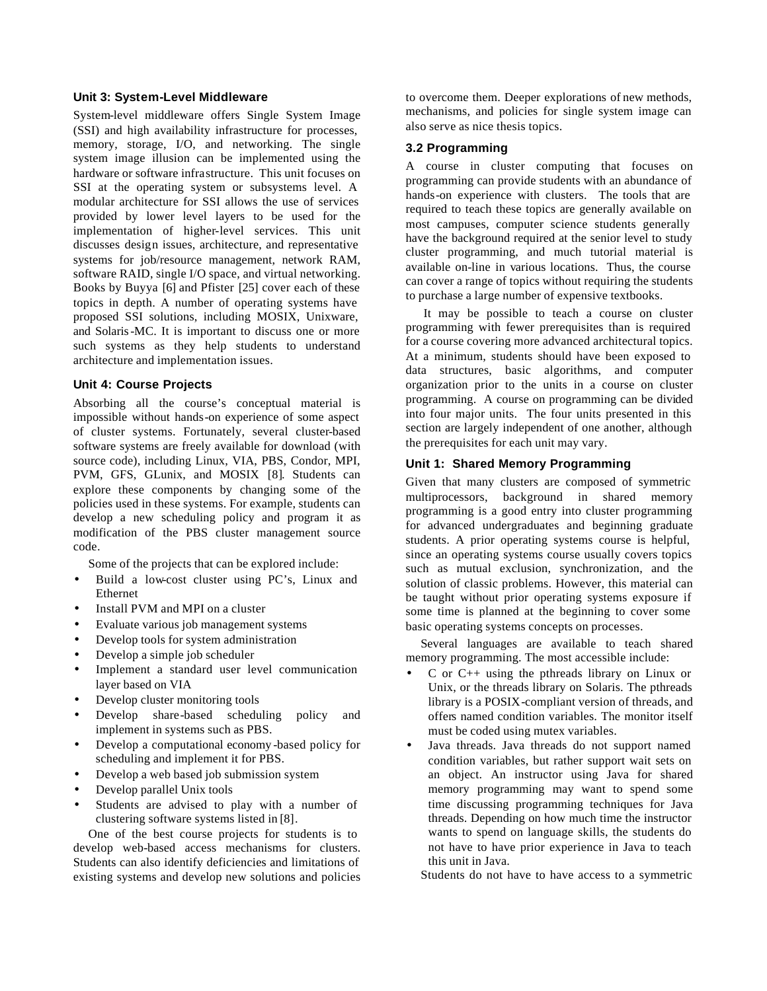#### **Unit 3: System-Level Middleware**

System-level middleware offers Single System Image (SSI) and high availability infrastructure for processes, memory, storage, I/O, and networking. The single system image illusion can be implemented using the hardware or software infrastructure. This unit focuses on SSI at the operating system or subsystems level. A modular architecture for SSI allows the use of services provided by lower level layers to be used for the implementation of higher-level services. This unit discusses design issues, architecture, and representative systems for job/resource management, network RAM, software RAID, single I/O space, and virtual networking. Books by Buyya [6] and Pfister [25] cover each of these topics in depth. A number of operating systems have proposed SSI solutions, including MOSIX, Unixware, and Solaris-MC. It is important to discuss one or more such systems as they help students to understand architecture and implementation issues.

#### **Unit 4: Course Projects**

Absorbing all the course's conceptual material is impossible without hands-on experience of some aspect of cluster systems. Fortunately, several cluster-based software systems are freely available for download (with source code), including Linux, VIA, PBS, Condor, MPI, PVM, GFS, GLunix, and MOSIX [8]. Students can explore these components by changing some of the policies used in these systems. For example, students can develop a new scheduling policy and program it as modification of the PBS cluster management source code.

Some of the projects that can be explored include:

- Build a low-cost cluster using PC's, Linux and Ethernet
- Install PVM and MPI on a cluster
- Evaluate various job management systems
- Develop tools for system administration
- Develop a simple job scheduler
- Implement a standard user level communication layer based on VIA
- Develop cluster monitoring tools
- Develop share-based scheduling policy and implement in systems such as PBS.
- Develop a computational economy -based policy for scheduling and implement it for PBS.
- Develop a web based job submission system
- Develop parallel Unix tools
- Students are advised to play with a number of clustering software systems listed in [8].

One of the best course projects for students is to develop web-based access mechanisms for clusters. Students can also identify deficiencies and limitations of existing systems and develop new solutions and policies to overcome them. Deeper explorations of new methods, mechanisms, and policies for single system image can also serve as nice thesis topics.

#### **3.2 Programming**

A course in cluster computing that focuses on programming can provide students with an abundance of hands-on experience with clusters. The tools that are required to teach these topics are generally available on most campuses, computer science students generally have the background required at the senior level to study cluster programming, and much tutorial material is available on-line in various locations. Thus, the course can cover a range of topics without requiring the students to purchase a large number of expensive textbooks.

 It may be possible to teach a course on cluster programming with fewer prerequisites than is required for a course covering more advanced architectural topics. At a minimum, students should have been exposed to data structures, basic algorithms, and computer organization prior to the units in a course on cluster programming. A course on programming can be divided into four major units. The four units presented in this section are largely independent of one another, although the prerequisites for each unit may vary.

#### **Unit 1: Shared Memory Programming**

Given that many clusters are composed of symmetric multiprocessors, background in shared memory programming is a good entry into cluster programming for advanced undergraduates and beginning graduate students. A prior operating systems course is helpful, since an operating systems course usually covers topics such as mutual exclusion, synchronization, and the solution of classic problems. However, this material can be taught without prior operating systems exposure if some time is planned at the beginning to cover some basic operating systems concepts on processes.

Several languages are available to teach shared memory programming. The most accessible include:

- $C$  or  $C_{++}$  using the pthreads library on Linux or Unix, or the threads library on Solaris. The pthreads library is a POSIX-compliant version of threads, and offers named condition variables. The monitor itself must be coded using mutex variables.
- Java threads. Java threads do not support named condition variables, but rather support wait sets on an object. An instructor using Java for shared memory programming may want to spend some time discussing programming techniques for Java threads. Depending on how much time the instructor wants to spend on language skills, the students do not have to have prior experience in Java to teach this unit in Java.

Students do not have to have access to a symmetric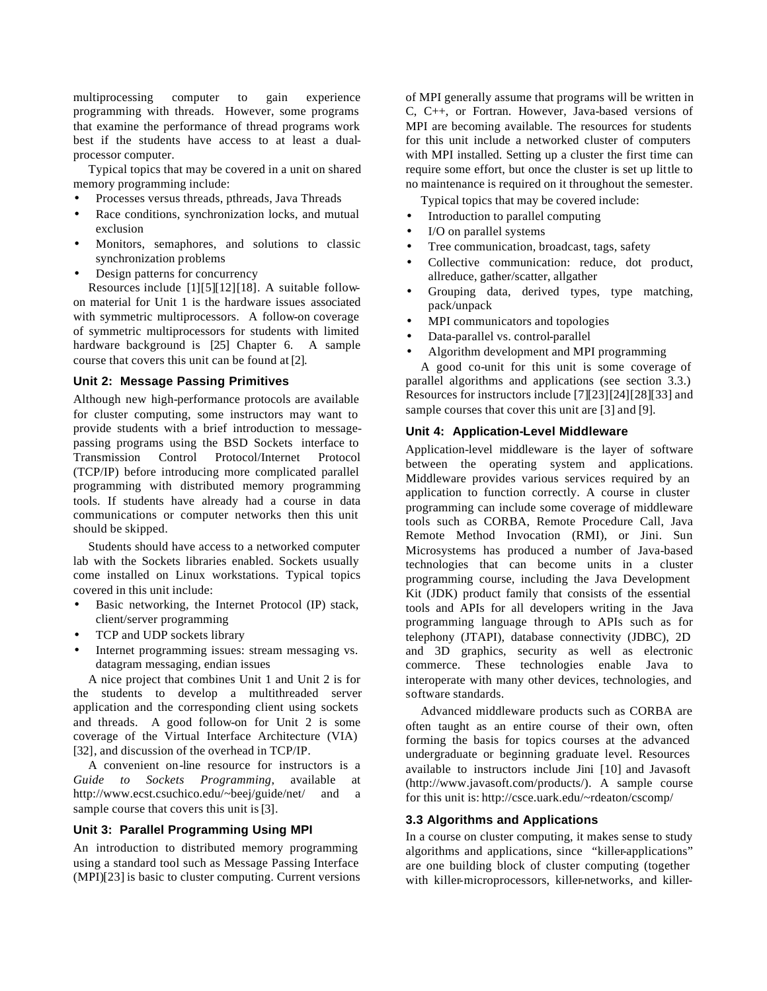multiprocessing computer to gain experience programming with threads. However, some programs that examine the performance of thread programs work best if the students have access to at least a dualprocessor computer.

Typical topics that may be covered in a unit on shared memory programming include:

- Processes versus threads, pthreads, Java Threads
- Race conditions, synchronization locks, and mutual exclusion
- Monitors, semaphores, and solutions to classic synchronization problems
- Design patterns for concurrency

Resources include [1][5][12][18]. A suitable followon material for Unit 1 is the hardware issues associated with symmetric multiprocessors. A follow-on coverage of symmetric multiprocessors for students with limited hardware background is [25] Chapter 6. A sample course that covers this unit can be found at [2].

#### **Unit 2: Message Passing Primitives**

Although new high-performance protocols are available for cluster computing, some instructors may want to provide students with a brief introduction to messagepassing programs using the BSD Sockets interface to Transmission Control Protocol/Internet Protocol (TCP/IP) before introducing more complicated parallel programming with distributed memory programming tools. If students have already had a course in data communications or computer networks then this unit should be skipped.

Students should have access to a networked computer lab with the Sockets libraries enabled. Sockets usually come installed on Linux workstations. Typical topics covered in this unit include:

- Basic networking, the Internet Protocol (IP) stack, client/server programming
- TCP and UDP sockets library
- Internet programming issues: stream messaging vs. datagram messaging, endian issues

A nice project that combines Unit 1 and Unit 2 is for the students to develop a multithreaded server application and the corresponding client using sockets and threads. A good follow-on for Unit 2 is some coverage of the Virtual Interface Architecture (VIA) [32], and discussion of the overhead in TCP/IP.

A convenient on-line resource for instructors is a *Guide to Sockets Programming*, available at http://www.ecst.csuchico.edu/~beej/guide/net/ and a sample course that covers this unit is [3].

#### **Unit 3: Parallel Programming Using MPI**

An introduction to distributed memory programming using a standard tool such as Message Passing Interface (MPI)[23] is basic to cluster computing. Current versions of MPI generally assume that programs will be written in C, C++, or Fortran. However, Java-based versions of MPI are becoming available. The resources for students for this unit include a networked cluster of computers with MPI installed. Setting up a cluster the first time can require some effort, but once the cluster is set up little to no maintenance is required on it throughout the semester.

Typical topics that may be covered include:

- Introduction to parallel computing
- I/O on parallel systems
- Tree communication, broadcast, tags, safety
- Collective communication: reduce, dot product, allreduce, gather/scatter, allgather
- Grouping data, derived types, type matching, pack/unpack
- MPI communicators and topologies
- Data-parallel vs. control-parallel
- Algorithm development and MPI programming

A good co-unit for this unit is some coverage of parallel algorithms and applications (see section 3.3.) Resources for instructors include [7][23][24][28][33] and sample courses that cover this unit are [3] and [9].

#### **Unit 4: Application-Level Middleware**

Application-level middleware is the layer of software between the operating system and applications. Middleware provides various services required by an application to function correctly. A course in cluster programming can include some coverage of middleware tools such as CORBA, Remote Procedure Call, Java Remote Method Invocation (RMI), or Jini. Sun Microsystems has produced a number of Java-based technologies that can become units in a cluster programming course, including the Java Development Kit (JDK) product family that consists of the essential tools and APIs for all developers writing in the Java programming language through to APIs such as for telephony (JTAPI), database connectivity (JDBC), 2D and 3D graphics, security as well as electronic commerce. These technologies enable Java to interoperate with many other devices, technologies, and software standards.

Advanced middleware products such as CORBA are often taught as an entire course of their own, often forming the basis for topics courses at the advanced undergraduate or beginning graduate level. Resources available to instructors include Jini [10] and Javasoft (http://www.javasoft.com/products/). A sample course for this unit is: http://csce.uark.edu/~rdeaton/cscomp/

#### **3.3 Algorithms and Applications**

In a course on cluster computing, it makes sense to study algorithms and applications, since "killer-applications" are one building block of cluster computing (together with killer-microprocessors, killer-networks, and killer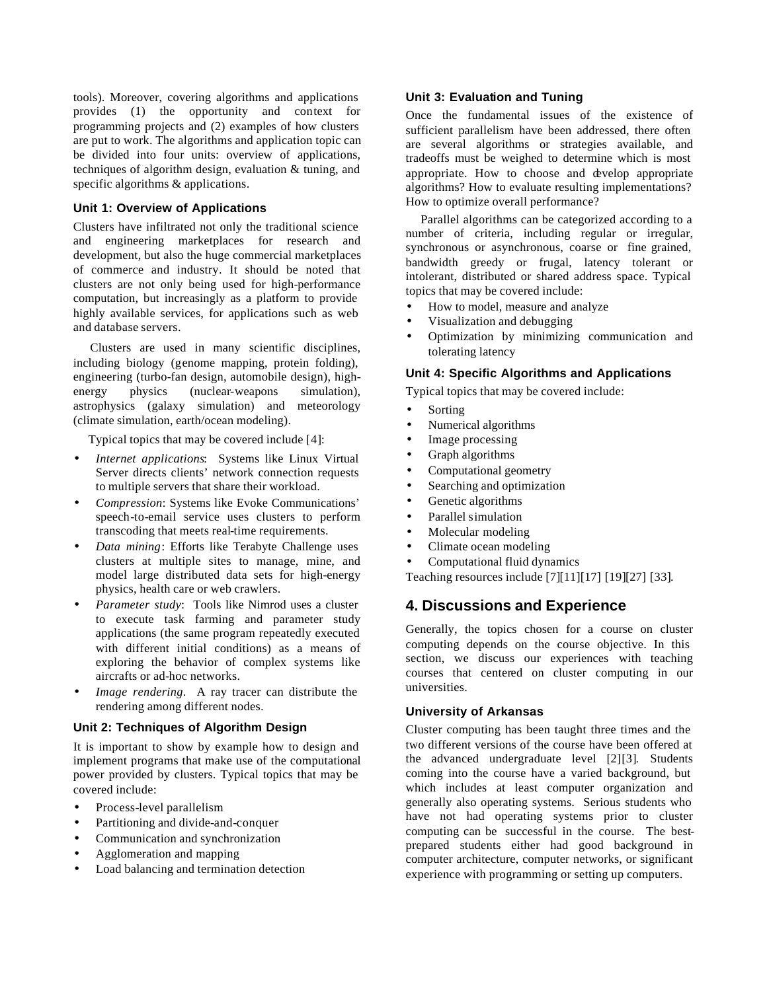tools). Moreover, covering algorithms and applications provides (1) the opportunity and context for programming projects and (2) examples of how clusters are put to work. The algorithms and application topic can be divided into four units: overview of applications, techniques of algorithm design, evaluation & tuning, and specific algorithms & applications.

#### **Unit 1: Overview of Applications**

Clusters have infiltrated not only the traditional science and engineering marketplaces for research and development, but also the huge commercial marketplaces of commerce and industry. It should be noted that clusters are not only being used for high-performance computation, but increasingly as a platform to provide highly available services, for applications such as web and database servers.

Clusters are used in many scientific disciplines, including biology (genome mapping, protein folding), engineering (turbo-fan design, automobile design), highenergy physics (nuclear-weapons simulation), astrophysics (galaxy simulation) and meteorology (climate simulation, earth/ocean modeling).

Typical topics that may be covered include [4]:

- *Internet applications*: Systems like Linux Virtual Server directs clients' network connection requests to multiple servers that share their workload.
- *Compression*: Systems like Evoke Communications' speech-to-email service uses clusters to perform transcoding that meets real-time requirements.
- *Data mining*: Efforts like Terabyte Challenge uses clusters at multiple sites to manage, mine, and model large distributed data sets for high-energy physics, health care or web crawlers.
- *Parameter study*: Tools like Nimrod uses a cluster to execute task farming and parameter study applications (the same program repeatedly executed with different initial conditions) as a means of exploring the behavior of complex systems like aircrafts or ad-hoc networks.
- *Image rendering.* A ray tracer can distribute the rendering among different nodes.

#### **Unit 2: Techniques of Algorithm Design**

It is important to show by example how to design and implement programs that make use of the computational power provided by clusters. Typical topics that may be covered include:

- Process-level parallelism
- Partitioning and divide-and-conquer
- Communication and synchronization
- Agglomeration and mapping
- Load balancing and termination detection

#### **Unit 3: Evaluation and Tuning**

Once the fundamental issues of the existence of sufficient parallelism have been addressed, there often are several algorithms or strategies available, and tradeoffs must be weighed to determine which is most appropriate. How to choose and develop appropriate algorithms? How to evaluate resulting implementations? How to optimize overall performance?

Parallel algorithms can be categorized according to a number of criteria, including regular or irregular, synchronous or asynchronous, coarse or fine grained, bandwidth greedy or frugal, latency tolerant or intolerant, distributed or shared address space. Typical topics that may be covered include:

- How to model, measure and analyze
- Visualization and debugging
- Optimization by minimizing communication and tolerating latency

#### **Unit 4: Specific Algorithms and Applications**

Typical topics that may be covered include:

- Sorting
- Numerical algorithms
- Image processing
- Graph algorithms
- Computational geometry
- Searching and optimization
- Genetic algorithms
- Parallel simulation
- Molecular modeling
- Climate ocean modeling
- Computational fluid dynamics

Teaching resources include [7][11][17] [19][27] [33].

## **4. Discussions and Experience**

Generally, the topics chosen for a course on cluster computing depends on the course objective. In this section, we discuss our experiences with teaching courses that centered on cluster computing in our universities.

#### **University of Arkansas**

Cluster computing has been taught three times and the two different versions of the course have been offered at the advanced undergraduate level [2][3]. Students coming into the course have a varied background, but which includes at least computer organization and generally also operating systems. Serious students who have not had operating systems prior to cluster computing can be successful in the course. The bestprepared students either had good background in computer architecture, computer networks, or significant experience with programming or setting up computers.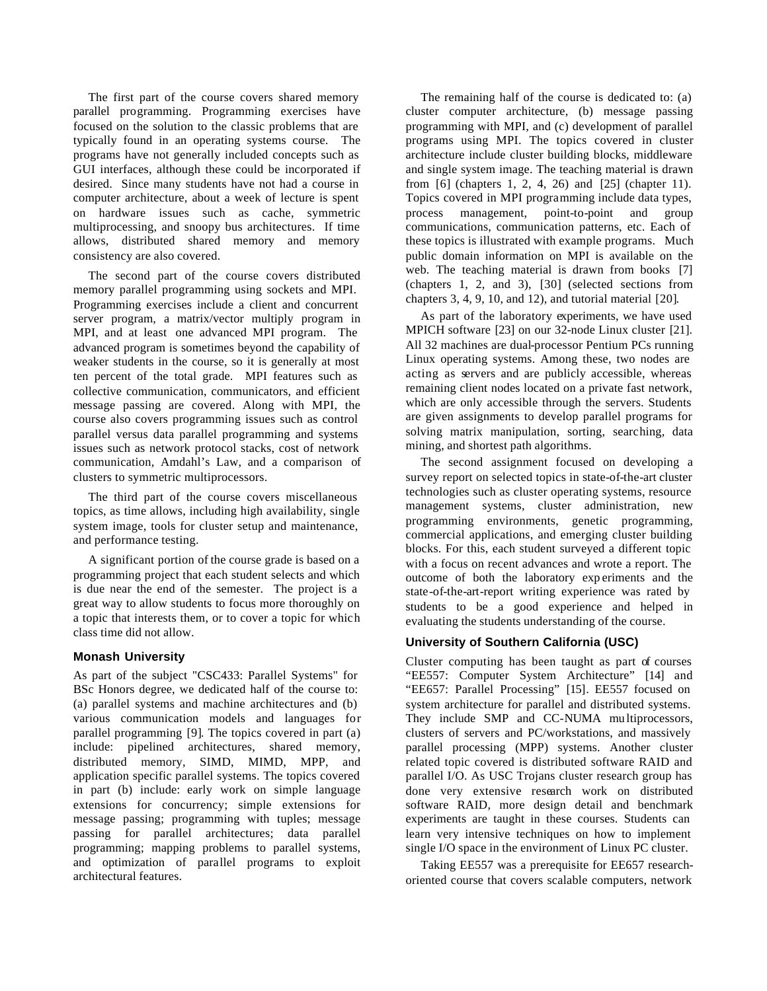The first part of the course covers shared memory parallel programming. Programming exercises have focused on the solution to the classic problems that are typically found in an operating systems course. The programs have not generally included concepts such as GUI interfaces, although these could be incorporated if desired. Since many students have not had a course in computer architecture, about a week of lecture is spent on hardware issues such as cache, symmetric multiprocessing, and snoopy bus architectures. If time allows, distributed shared memory and memory consistency are also covered.

The second part of the course covers distributed memory parallel programming using sockets and MPI. Programming exercises include a client and concurrent server program, a matrix/vector multiply program in MPI, and at least one advanced MPI program. The advanced program is sometimes beyond the capability of weaker students in the course, so it is generally at most ten percent of the total grade. MPI features such as collective communication, communicators, and efficient message passing are covered. Along with MPI, the course also covers programming issues such as control parallel versus data parallel programming and systems issues such as network protocol stacks, cost of network communication, Amdahl's Law, and a comparison of clusters to symmetric multiprocessors.

The third part of the course covers miscellaneous topics, as time allows, including high availability, single system image, tools for cluster setup and maintenance, and performance testing.

A significant portion of the course grade is based on a programming project that each student selects and which is due near the end of the semester. The project is a great way to allow students to focus more thoroughly on a topic that interests them, or to cover a topic for which class time did not allow.

#### **Monash University**

As part of the subject "CSC433: Parallel Systems" for BSc Honors degree, we dedicated half of the course to: (a) parallel systems and machine architectures and (b) various communication models and languages for parallel programming [9]. The topics covered in part (a) include: pipelined architectures, shared memory, distributed memory, SIMD, MIMD, MPP, and application specific parallel systems. The topics covered in part (b) include: early work on simple language extensions for concurrency; simple extensions for message passing; programming with tuples; message passing for parallel architectures; data parallel programming; mapping problems to parallel systems, and optimization of parallel programs to exploit architectural features.

The remaining half of the course is dedicated to: (a) cluster computer architecture, (b) message passing programming with MPI, and (c) development of parallel programs using MPI. The topics covered in cluster architecture include cluster building blocks, middleware and single system image. The teaching material is drawn from [6] (chapters 1, 2, 4, 26) and [25] (chapter 11). Topics covered in MPI programming include data types, process management, point-to-point and group communications, communication patterns, etc. Each of these topics is illustrated with example programs. Much public domain information on MPI is available on the web. The teaching material is drawn from books [7] (chapters 1, 2, and 3), [30] (selected sections from chapters 3, 4, 9, 10, and 12), and tutorial material [20].

As part of the laboratory experiments, we have used MPICH software [23] on our 32-node Linux cluster [21]. All 32 machines are dual-processor Pentium PCs running Linux operating systems. Among these, two nodes are acting as servers and are publicly accessible, whereas remaining client nodes located on a private fast network, which are only accessible through the servers. Students are given assignments to develop parallel programs for solving matrix manipulation, sorting, searching, data mining, and shortest path algorithms.

The second assignment focused on developing a survey report on selected topics in state-of-the-art cluster technologies such as cluster operating systems, resource management systems, cluster administration, new programming environments, genetic programming, commercial applications, and emerging cluster building blocks. For this, each student surveyed a different topic with a focus on recent advances and wrote a report. The outcome of both the laboratory exp eriments and the state-of-the-art-report writing experience was rated by students to be a good experience and helped in evaluating the students understanding of the course.

#### **University of Southern California (USC)**

Cluster computing has been taught as part of courses "EE557: Computer System Architecture" [14] and "EE657: Parallel Processing" [15]. EE557 focused on system architecture for parallel and distributed systems. They include SMP and CC-NUMA multiprocessors, clusters of servers and PC/workstations, and massively parallel processing (MPP) systems. Another cluster related topic covered is distributed software RAID and parallel I/O. As USC Trojans cluster research group has done very extensive research work on distributed software RAID, more design detail and benchmark experiments are taught in these courses. Students can learn very intensive techniques on how to implement single I/O space in the environment of Linux PC cluster.

Taking EE557 was a prerequisite for EE657 researchoriented course that covers scalable computers, network